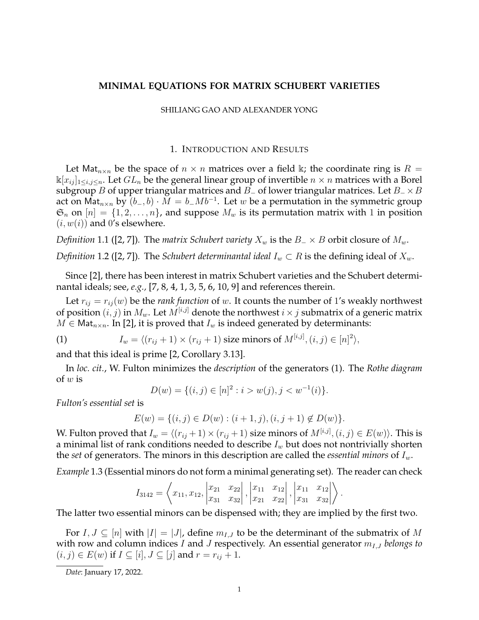# **MINIMAL EQUATIONS FOR MATRIX SCHUBERT VARIETIES**

### SHILIANG GAO AND ALEXANDER YONG

## 1. INTRODUCTION AND RESULTS

Let Mat<sub>n×n</sub> be the space of  $n \times n$  matrices over a field k; the coordinate ring is  $R =$  $\kappa[x_{ij}]_{1\le i,j\le n}$ . Let  $GL_n$  be the general linear group of invertible  $n\times n$  matrices with a Borel subgroup B of upper triangular matrices and B<sub>−</sub> of lower triangular matrices. Let  $B_$  × B act on Mat $_{n\times n}$  by  $\overline{(b_-,b)\cdot M}=b_-Mb^{-1}.$  Let  $w$  be a permutation in the symmetric group  $\mathfrak{S}_n$  on  $[n] = \{1, 2, \ldots, n\}$ , and suppose  $M_w$  is its permutation matrix with 1 in position  $(i, w(i))$  and 0's elsewhere.

*Definition* 1.1 ([2, 7]). The *matrix Schubert variety*  $X_w$  is the  $B_-\times B$  orbit closure of  $M_w$ .

*Definition* 1.2 ([2, 7]). The *Schubert determinantal ideal*  $I_w \subset R$  is the defining ideal of  $X_w$ .

Since [2], there has been interest in matrix Schubert varieties and the Schubert determinantal ideals; see, *e.g.,* [7, 8, 4, 1, 3, 5, 6, 10, 9] and references therein.

Let  $r_{ij} = r_{ij}(w)$  be the *rank function* of w. It counts the number of 1's weakly northwest of position  $(i, j)$  in  $M_w$ . Let  $M^{[i,j]}$  denote the northwest  $i \times j$  submatrix of a generic matrix  $M \in \text{Mat}_{n \times n}$ . In [2], it is proved that  $I_w$  is indeed generated by determinants:

(1) 
$$
I_w = \langle (r_{ij} + 1) \times (r_{ij} + 1) \text{ size minors of } M^{[i,j]}, (i,j) \in [n]^2 \rangle,
$$

and that this ideal is prime [2, Corollary 3.13].

In *loc. cit.*, W. Fulton minimizes the *description* of the generators (1). The *Rothe diagram* of  $w$  is

$$
D(w) = \{(i, j) \in [n]^2 : i > w(j), j < w^{-1}(i)\}.
$$

*Fulton's essential set* is

$$
E(w) = \{(i, j) \in D(w) : (i + 1, j), (i, j + 1) \notin D(w)\}.
$$

W. Fulton proved that  $I_w = \langle (r_{ij} + 1) \times (r_{ij} + 1)$  size minors of  $M^{[i,j]}, (i,j) \in E(w) \rangle$ . This is a minimal list of rank conditions needed to describe  $I_w$  but does not nontrivially shorten the *set* of generators. The minors in this description are called the *essential minors* of  $I_w$ .

*Example* 1.3 (Essential minors do not form a minimal generating set)*.* The reader can check

$$
I_{3142} = \left\langle x_{11}, x_{12}, \begin{vmatrix} x_{21} & x_{22} \\ x_{31} & x_{32} \end{vmatrix}, \begin{vmatrix} x_{11} & x_{12} \\ x_{21} & x_{22} \end{vmatrix}, \begin{vmatrix} x_{11} & x_{12} \\ x_{31} & x_{32} \end{vmatrix} \right\rangle.
$$

The latter two essential minors can be dispensed with; they are implied by the first two.

For  $I, J \subseteq [n]$  with  $|I| = |J|$ , define  $m_{I,J}$  to be the determinant of the submatrix of M with row and column indices I and J respectively. An essential generator  $m_{I,J}$  *belongs to*  $(i, j) \in E(w)$  if  $I \subseteq [i], J \subseteq [j]$  and  $r = r_{ij} + 1$ .

*Date*: January 17, 2022.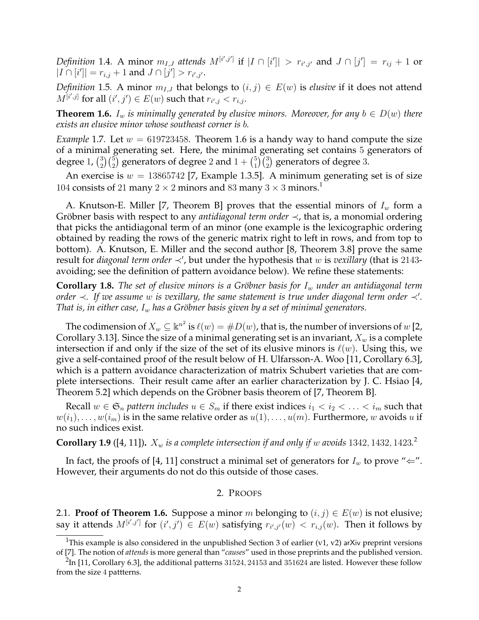*Definition* 1.4. A minor  $m_{I,J}$  attends  $M^{[i',j']}$  if  $|I \cap [i']| > r_{i',j'}$  and  $J \cap [j'] = r_{ij} + 1$  or  $|I \cap [i']| = r_{i,j} + 1$  and  $J \cap [j'] > r_{i',j'}.$ 

*Definition* 1.5*.* A minor  $m_{I,J}$  that belongs to  $(i, j) \in E(w)$  is *elusive* if it does not attend  $M^{[i',j]}$  for all  $(i',j')\in E(w)$  such that  $r_{i',j} < r_{i,j}.$ 

**Theorem 1.6.**  $I_w$  *is minimally generated by elusive minors. Moreover, for any*  $b \in D(w)$  *there exists an elusive minor whose southeast corner is* b*.*

*Example* 1.7. Let  $w = 619723458$ . Theorem 1.6 is a handy way to hand compute the size of a minimal generating set. Here, the minimal generating set contains 5 generators of degree 1,  $\binom{3}{2}$  $_2^3$ ) $_2^{\left( 5\right) }$  generators of degree  $2$  and  $1+\binom{5}{1}$  $\binom{5}{1}\binom{3}{2}$  generators of degree 3.

An exercise is  $w = 13865742$  [7, Example 1.3.5]. A minimum generating set is of size 104 consists of 21 many 2  $\times$  2 minors and 83 many 3  $\times$  3 minors.<sup>1</sup>

A. Knutson-E. Miller [7, Theorem B] proves that the essential minors of  $I_w$  form a Gröbner basis with respect to any *antidiagonal term order*  $\prec$ , that is, a monomial ordering that picks the antidiagonal term of an minor (one example is the lexicographic ordering obtained by reading the rows of the generic matrix right to left in rows, and from top to bottom). A. Knutson, E. Miller and the second author [8, Theorem 3.8] prove the same result for *diagonal term order* ≺', but under the hypothesis that w is *vexillary* (that is 2143avoiding; see the definition of pattern avoidance below). We refine these statements:

**Corollary 1.8.** *The set of elusive minors is a Gröbner basis for I<sub>w</sub> under an antidiagonal term order*  $\prec$ . If we assume w is vexillary, the same statement is true under diagonal term order  $\prec'$ . *That is, in either case,*  $I_w$  *has a Gröbner basis given by a set of minimal generators.* 

The codimension of  $X_w\subseteq \Bbbk^{n^2}$  is  $\ell(w)=\#D(w)$ , that is, the number of inversions of  $w$  [2, Corollary 3.13]. Since the size of a minimal generating set is an invariant,  $X_w$  is a complete intersection if and only if the size of the set of its elusive minors is  $\ell(w)$ . Using this, we give a self-contained proof of the result below of H. Ulfarsson-A. Woo [11, Corollary 6.3], which is a pattern avoidance characterization of matrix Schubert varieties that are complete intersections. Their result came after an earlier characterization by J. C. Hsiao [4, Theorem 5.2] which depends on the Gröbner basis theorem of [7, Theorem B].

Recall  $w \in \mathfrak{S}_n$  *pattern includes*  $u \in S_m$  if there exist indices  $i_1 < i_2 < \ldots < i_m$  such that  $w(i_1), \ldots, w(i_m)$  is in the same relative order as  $u(1), \ldots, u(m)$ . Furthermore, w avoids u if no such indices exist.

**Corollary 1.9** ([4, 11]).  $X_w$  is a complete intersection if and only if w avoids 1342, 1432, 1423.<sup>2</sup>

In fact, the proofs of [4, 11] construct a minimal set of generators for  $I_w$  to prove " $\Leftarrow$ ". However, their arguments do not do this outside of those cases.

#### 2. PROOFS

2.1. **Proof of Theorem 1.6.** Suppose a minor m belonging to  $(i, j) \in E(w)$  is not elusive; say it attends  $M^{[i',j']}$  for  $(i',j')\in E(w)$  satisfying  $r_{i',j'}(w) < r_{i,j}(w)$ . Then it follows by

<sup>&</sup>lt;sup>1</sup>This example is also considered in the unpublished Section 3 of earlier (v1, v2) arXiv preprint versions of [7]. The notion of *attends* is more general than "*causes*" used in those preprints and the published version.

 $^{2}$ In [11, Corollary 6.3], the additional patterns 31524, 24153 and 351624 are listed. However these follow from the size 4 pattterns.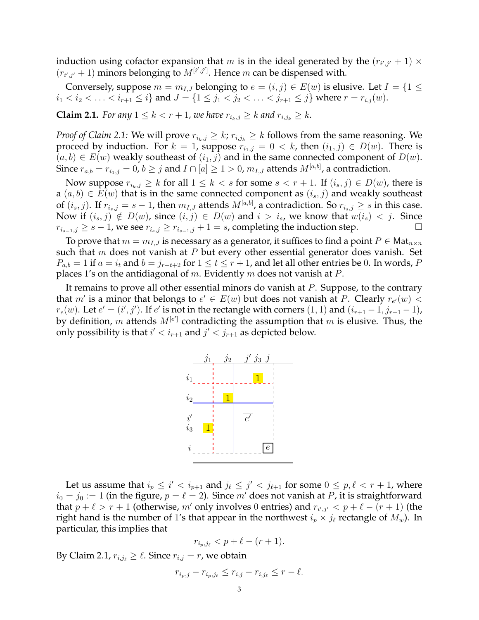induction using cofactor expansion that m is in the ideal generated by the  $(r_{i',j'} + 1) \times$  $(r_{i',j'}+1)$  minors belonging to  $M^{[i',j']}$ . Hence m can be dispensed with.

Conversely, suppose  $m = m_{I,J}$  belonging to  $e = (i, j) \in E(w)$  is elusive. Let  $I = \{1 \leq j \leq J\}$  $i_1 < i_2 < \ldots < i_{r+1} \leq i$  and  $J = \{1 \leq j_1 < j_2 < \ldots < j_{r+1} \leq j\}$  where  $r = r_{i,j}(w)$ .

**Claim 2.1.** *For any*  $1 \le k < r + 1$ *, we have*  $r_{i_k, j} \ge k$  *and*  $r_{i, j_k} \ge k$ *.* 

*Proof of Claim 2.1:* We will prove  $r_{i_k,j} \geq k$ ;  $r_{i,j_k} \geq k$  follows from the same reasoning. We proceed by induction. For  $k = 1$ , suppose  $r_{i_1,j} = 0 \lt k$ , then  $(i_1,j) \in D(w)$ . There is  $(a, b) \in E(w)$  weakly southeast of  $(i_1, j)$  and in the same connected component of  $D(w)$ . Since  $r_{a,b}=r_{i_1,j}=0$ ,  $b\geq j$  and  $I\cap[a]\geq 1>0$ ,  $m_{I,J}$  attends  $M^{[a,b]}$ , a contradiction.

Now suppose  $r_{i_k,j} \geq k$  for all  $1 \leq k < s$  for some  $s < r + 1$ . If  $(i_s, j) \in D(w)$ , there is  $a(a, b) \in E(w)$  that is in the same connected component as  $(i_s, j)$  and weakly southeast of  $(i_s, j)$ . If  $r_{i_s,j} = s - 1$ , then  $m_{I,J}$  attends  $M^{[a,b]}$ , a contradiction. So  $r_{i_s,j} \geq s$  in this case. Now if  $(i_s, j) \notin D(w)$ , since  $(i, j) \in D(w)$  and  $i > i_s$ , we know that  $w(i_s) < j$ . Since  $r_{i_{s-1},j} \geq s-1$ , we see  $r_{i_s,j} \geq r_{i_{s-1},j}+1=s$ , completing the induction step.

To prove that  $m = m_{I,J}$  is necessary as a generator, it suffices to find a point  $P \in \mathsf{Mat}_{n \times n}$ such that  $m$  does not vanish at  $P$  but every other essential generator does vanish. Set  $P_{a,b} = 1$  if  $a = i_t$  and  $b = j_{r-t+2}$  for  $1 \le t \le r+1$ , and let all other entries be 0. In words, P places 1's on the antidiagonal of m. Evidently m does not vanish at P.

It remains to prove all other essential minors do vanish at  $P$ . Suppose, to the contrary that m' is a minor that belongs to  $e' \in E(w)$  but does not vanish at P. Clearly  $r_{e'}(w)$  <  $r_e(w)$ . Let  $e' = (i', j')$ . If  $e'$  is not in the rectangle with corners  $(1, 1)$  and  $(i_{r+1} - 1, j_{r+1} - 1)$ , by definition, m attends  $M^{[e']}$  contradicting the assumption that m is elusive. Thus, the only possibility is that  $i' < i_{r+1}$  and  $j' < j_{r+1}$  as depicted below.



Let us assume that  $i_p \leq i' < i_{p+1}$  and  $j_\ell \leq j' < j_{\ell+1}$  for some  $0 \leq p, \ell < r+1$ , where  $i_0 = j_0 := 1$  (in the figure,  $p = \ell = 2$ ). Since m' does not vanish at P, it is straightforward that  $p + \ell > r + 1$  (otherwise, m' only involves 0 entries) and  $r_{i',j'} < p + \ell - (r + 1)$  (the right hand is the number of 1's that appear in the northwest  $i_p \times j_\ell$  rectangle of  $M_w$ ). In particular, this implies that

$$
r_{i_p,j_\ell} < p + \ell - (r+1).
$$

By Claim 2.1,  $r_{i,j} \geq \ell$ . Since  $r_{i,j} = r$ , we obtain

$$
r_{i_p,j} - r_{i_p,j_\ell} \le r_{i,j} - r_{i,j_\ell} \le r - \ell.
$$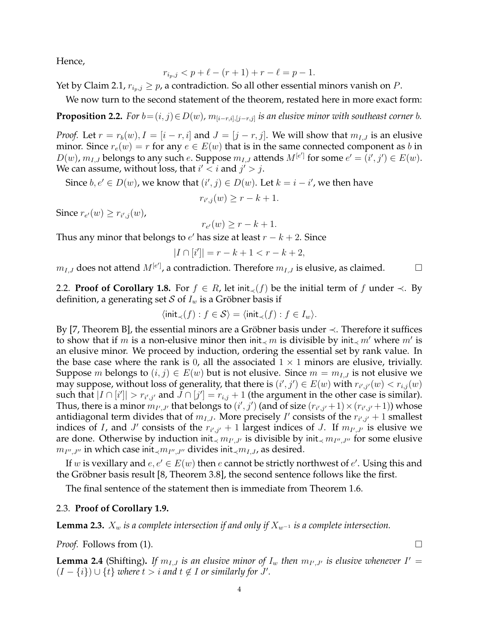Hence,

$$
r_{i_p,j} < p + \ell - (r+1) + r - \ell = p - 1.
$$

Yet by Claim 2.1,  $r_{i_p,j} \geq p$ , a contradiction. So all other essential minors vanish on P.

We now turn to the second statement of the theorem, restated here in more exact form:

**Proposition 2.2.** *For*  $b = (i, j) \in D(w)$ ,  $m_{[i-r,i], [j-r,j]}$  *is an elusive minor with southeast corner b.* 

*Proof.* Let  $r = r_b(w)$ ,  $I = [i - r, i]$  and  $J = [j - r, j]$ . We will show that  $m_{I,J}$  is an elusive minor. Since  $r_e(w) = r$  for any  $e \in E(w)$  that is in the same connected component as b in  $D(w)$ ,  $m_{I,J}$  belongs to any such  $e$ . Suppose  $m_{I,J}$  attends  $M^{[e']}$  for some  $e' = (i', j') \in E(w)$ . We can assume, without loss, that  $i' < i$  and  $j' > j$ .

Since  $b, e' \in D(w)$ , we know that  $(i', j) \in D(w)$ . Let  $k = i - i'$ , we then have

 $r_{i',j}(w) \geq r - k + 1.$ 

Since  $r_{e'}(w) \geq r_{i',j}(w)$ ,

$$
r_{e'}(w) \ge r - k + 1.
$$

Thus any minor that belongs to  $e'$  has size at least  $r - k + 2$ . Since

$$
|I \cap [i']| = r - k + 1 < r - k + 2,
$$

 $m_{I,J}$  does not attend  $M^{[e']}$ , a contradiction. Therefore  $m_{I,J}$  is elusive, as claimed.  $\hskip1cm \Box$ 

2.2. **Proof of Corollary 1.8.** For  $f \in R$ , let init<sub> $\prec$ </sub>(f) be the initial term of f under  $\prec$ . By definition, a generating set S of  $I_w$  is a Gröbner basis if

$$
\langle \text{init}_{\prec}(f) : f \in \mathcal{S} \rangle = \langle \text{init}_{\prec}(f) : f \in I_w \rangle.
$$

By [7, Theorem B], the essential minors are a Gröbner basis under  $\prec$ . Therefore it suffices to show that if m is a non-elusive minor then init<sub>≺</sub> m is divisible by init<sub>≺</sub> m' where m' is an elusive minor. We proceed by induction, ordering the essential set by rank value. In the base case where the rank is 0, all the associated  $1 \times 1$  minors are elusive, trivially. Suppose *m* belongs to  $(i, j) \in E(w)$  but is not elusive. Since  $m = m_{I,J}$  is not elusive we may suppose, without loss of generality, that there is  $(i',j') \in E(w)$  with  $r_{i',j'}(w) < r_{i,j}(w)$ such that  $|I \cap [i']| > r_{i',j'}$  and  $\overline{J} \cap [j'] = r_{i,j} + 1$  (the argument in the other case is similar). Thus, there is a minor  $m_{I',J'}$  that belongs to  $(i',j')$  (and of size  $(r_{i',j'}+1) \times (r_{i',j'}+1)$ ) whose antidiagonal term divides that of  $m_{I,J}$ . More precisely  $I'$  consists of the  $r_{i',j'} + 1$  smallest indices of *I*, and *J'* consists of the  $r_{i',j'}$  + 1 largest indices of *J*. If  $m_{I',J'}$  is elusive we are done. Otherwise by induction init<sub>≺</sub>  $m_{I',J'}$  is divisible by init<sub>≺</sub>  $m_{I'',J''}$  for some elusive  $m_{I'',J''}$  in which case init<sub>≺</sub> $m_{I'',J''}$  divides init<sub>≺</sub> $m_{I,J}$ , as desired.

If w is vexillary and  $e, e' \in E(w)$  then  $e$  cannot be strictly northwest of  $e'$ . Using this and the Gröbner basis result [8, Theorem 3.8], the second sentence follows like the first.

The final sentence of the statement then is immediate from Theorem 1.6.

## 2.3. **Proof of Corollary 1.9.**

**Lemma 2.3.**  $X_w$  *is a complete intersection if and only if*  $X_{w^{-1}}$  *is a complete intersection.* 

*Proof.* Follows from (1). □

**Lemma 2.4** (Shifting). If  $m_{I,J}$  is an elusive minor of  $I_w$  then  $m_{I',J'}$  is elusive whenever  $I' =$  $(I - \{i\}) \cup \{t\}$  *where*  $t > i$  *and*  $t \notin I$  *or similarly for*  $J'$ *.*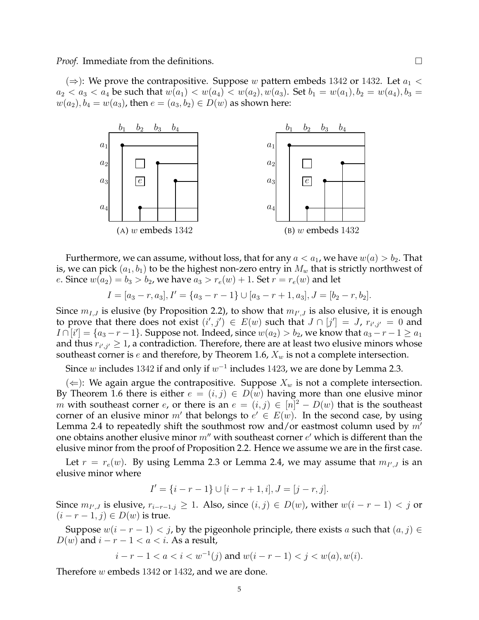(⇒): We prove the contrapositive. Suppose w pattern embeds 1342 or 1432. Let  $a_1$  <  $a_2 < a_3 < a_4$  be such that  $w(a_1) < w(a_4) < w(a_2), w(a_3)$ . Set  $b_1 = w(a_1), b_2 = w(a_4), b_3 = w(a_4)$  $w(a_2), b_4 = w(a_3)$ , then  $e = (a_3, b_2) \in D(w)$  as shown here:



Furthermore, we can assume, without loss, that for any  $a < a_1$ , we have  $w(a) > b_2$ . That is, we can pick  $(a_1, b_1)$  to be the highest non-zero entry in  $M_w$  that is strictly northwest of *e*. Since  $w(a_2) = b_3 > b_2$ , we have  $a_3 > r_e(w) + 1$ . Set  $r = r_e(w)$  and let

$$
I = [a_3 - r, a_3], I' = \{a_3 - r - 1\} \cup [a_3 - r + 1, a_3], J = [b_2 - r, b_2].
$$

Since  $m_{I,J}$  is elusive (by Proposition 2.2), to show that  $m_{I',J}$  is also elusive, it is enough to prove that there does not exist  $(i',j') \in E(w)$  such that  $J \cap [j'] = J$ ,  $r_{i',j'} = 0$  and  $I \cap [i'] = \{a_3 - r - 1\}$ . Suppose not. Indeed, since  $w(a_2) > b_2$ , we know that  $a_3 - r - 1 \ge a_1$ and thus  $r_{i',j'} \geq 1$ , a contradiction. Therefore, there are at least two elusive minors whose southeast corner is e and therefore, by Theorem 1.6,  $X_w$  is not a complete intersection.

Since w includes 1342 if and only if  $w^{-1}$  includes 1423, we are done by Lemma 2.3.

(  $\Leftarrow$  ): We again argue the contrapositive. Suppose  $X_w$  is not a complete intersection. By Theorem 1.6 there is either  $e = (i, j) \in D(w)$  having more than one elusive minor m with southeast corner e, or there is an  $e = (i, j) \in [n]^2 - D(w)$  that is the southeast corner of an elusive minor m' that belongs to  $e' \in E(w)$ . In the second case, by using Lemma 2.4 to repeatedly shift the southmost row and/or eastmost column used by  $m'$ one obtains another elusive minor  $m''$  with southeast corner  $e'$  which is different than the elusive minor from the proof of Proposition 2.2. Hence we assume we are in the first case.

Let  $r = r_e(w)$ . By using Lemma 2.3 or Lemma 2.4, we may assume that  $m_{I',J}$  is an elusive minor where

$$
I' = \{i - r - 1\} \cup [i - r + 1, i], J = [j - r, j].
$$

Since  $m_{I',J}$  is elusive,  $r_{i-r-1,j} \geq 1$ . Also, since  $(i,j) \in D(w)$ , wither  $w(i-r-1) < j$  or  $(i - r - 1, j) \in D(w)$  is true.

Suppose  $w(i - r - 1) < j$ , by the pigeonhole principle, there exists a such that  $(a, j) \in$  $D(w)$  and  $i - r - 1 < a < i$ . As a result,

$$
i - r - 1 < a < i < w^{-1}(j) \text{ and } w(i - r - 1) < j < w(a), w(i).
$$

5

Therefore w embeds 1342 or 1432, and we are done.